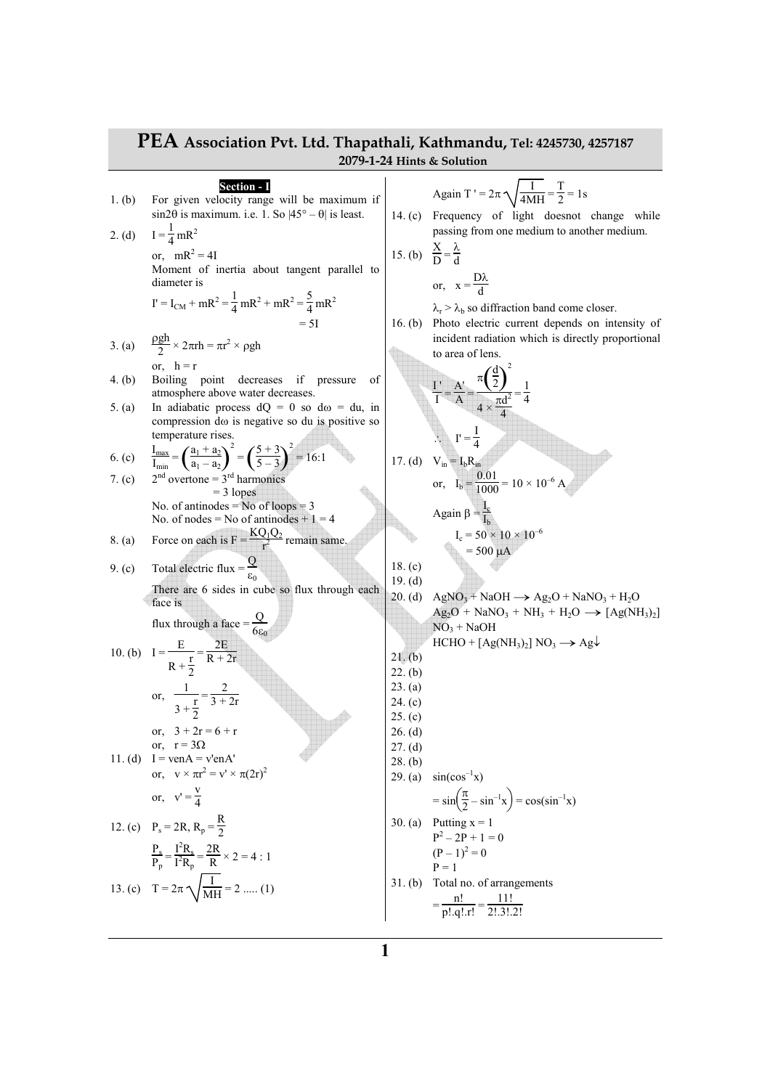**PEA Association Pvt. Ltd. Thapathali, Kathmandu, Tel: 4245730, 4257187 2079-1-24 Hints & Solution Section - I**  1. (b) For given velocity range will be maximum if sin2θ is maximum. i.e. 1. So |45° – θ| is least. 2. (d) I = <sup>1</sup> 4 mR<sup>2</sup> or, mR<sup>2</sup> = 4I Moment of inertia about tangent parallel to diameter is I' = ICM + mR<sup>2</sup> = 1 4 mR<sup>2</sup> + mR<sup>2</sup> = 5 4 mR<sup>2</sup> = 5I 3. (a) ρgh 2 × 2πrh = πr 2 × ρgh or, h = r 4. (b) Boiling point decreases if pressure of atmosphere above water decreases. 5. (a) In adiabatic process dQ = 0 so dω = du, in compression dω is negative so du is positive so temperature rises. 6. (c) Imax Imin <sup>=</sup>( ) <sup>a</sup><sup>1</sup> + a<sup>2</sup> a1 – a<sup>2</sup> 2 <sup>=</sup>( ) 5 + 3 5 – 3 2 = 16:1 7. (c) 2nd overtone = 3rd harmonics = 3 lopes No. of antinodes = No of loops = 3 No. of nodes = No of antinodes + 1 = 4 8. (a) Force on each is F = KQ1Q<sup>2</sup> r <sup>2</sup> remain same. 9. (c) Total electric flux = <sup>Q</sup> ε0 There are 6 sides in cube so flux through each face is flux through a face = <sup>Q</sup> 6ε<sup>0</sup> 10. (b) I = <sup>E</sup> R + r 2 = 2E R + 2r or, 1 3 + r 2 = 2 3 + 2r or, 3 + 2r = 6 + r or, r = 3Ω 11. (d) I = venA = v'enA' or, v × πr 2 = v' × π(2r)<sup>2</sup> or, v' = v 4 12. (c) P<sup>s</sup> = 2R, R<sup>p</sup> = R 2 Ps Pp = I 2Rs I <sup>2</sup>R<sup>p</sup> = 2R R × 2 = 4 : 1 13. (c) T = 2π I MH = 2 ..... (1) Again T ' = 2π I 4MH = T 2 = 1s 14. (c) Frequency of light doesnot change while passing from one medium to another medium. 15. (b) <sup>X</sup> D = λ d or, x = Dλ d λr > λ<sup>b</sup> so diffraction band come closer. 16. (b) Photo electric current depends on intensity of incident radiation which is directly proportional to area of lens. I ' I = A' A = <sup>π</sup>( )<sup>d</sup> 2 2 4 × πd 2 4 = 1 4 ∴ I' = I 4 17. (d) Vin = IbRin or, I<sup>b</sup> = 0.01 1000 = 10 × 10–6<sup>A</sup> Again β = Ic Ib I<sup>c</sup> = 50 × 10 × 10–6 = 500 µA 18. (c) 19. (d) 20. (d) AgNO<sup>3</sup> + NaOH → Ag2O + NaNO<sup>3</sup> + H2O Ag2O + NaNO<sup>3</sup> + NH<sup>3</sup> + H2<sup>O</sup>→ [Ag(NH<sup>3</sup> )2 ] NO<sup>3</sup> + NaOH HCHO + [Ag(NH<sup>3</sup> )2 ] NO<sup>3</sup> → Ag<sup>↓</sup> 21. (b) 22. (b) 23. (a) 24. (c) 25. (c) 26. (d) 27. (d) 28. (b) 29. (a) sin(cos–1x) = sin π 2 – sin–1x = cos(sin–1x) 30. (a) Putting x = 1 P<sup>2</sup> – 2P + 1 = 0 (P – 1)<sup>2</sup> = 0 P = 1 31. (b) Total no. of arrangements = n! p!.q!.r!<sup>=</sup> 11! 2!.3!.2!

a s

$$
\mathbf{1}^{\prime}
$$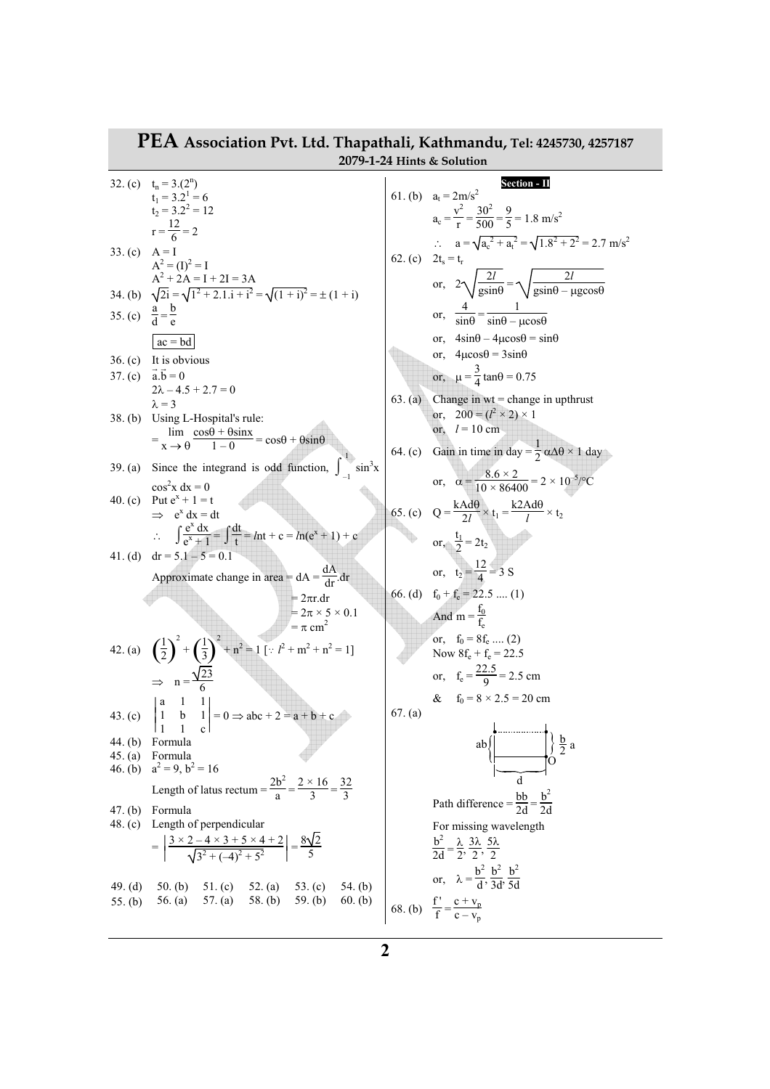| PEA Association Pvt. Ltd. Thapathali, Kathmandu, Tel: 4245730, 4257187<br>2079-1-24 Hints & Solution |                                                                                                                                                           |         |                                                                                                                                                                                                           |
|------------------------------------------------------------------------------------------------------|-----------------------------------------------------------------------------------------------------------------------------------------------------------|---------|-----------------------------------------------------------------------------------------------------------------------------------------------------------------------------------------------------------|
|                                                                                                      | 32. (c) $t_n = 3.(2^n)$<br>$t_1 = 3.2^1 = 6$<br>$t_2 = 3.2^2 = 12$<br>$r = \frac{12}{6} = 2$                                                              |         | Section - II<br>61. (b) $a_t = 2m/s^2$<br>$a_c = \frac{v^2}{r} = \frac{30^2}{500} = \frac{9}{5} = 1.8$ m/s <sup>2</sup>                                                                                   |
| 33. (c) $A = I$                                                                                      | $A^2 = (I)^2 = I$<br>$A^2 + 2A = I + 2I = 3A$                                                                                                             |         | ∴ $a = \sqrt{a_c^2 + a_t^2} = \sqrt{1.8^2 + 2^2} = 2.7 \text{ m/s}^2$<br>62. (c) $2t_s = t_r$<br>or, $2\sqrt{\frac{2l}{\text{gsin}\theta}} = \sqrt{\frac{2l}{\text{gsin}\theta - \mu \text{gcos}\theta}}$ |
|                                                                                                      | 34. (b) $\sqrt{2i} = \sqrt{1^2 + 2 \cdot 1 \cdot i + i^2} = \sqrt{(1 + i)^2} = \pm (1 + i)$                                                               |         |                                                                                                                                                                                                           |
| 35. (c) $\frac{a}{d} = \frac{b}{a}$                                                                  | $\vert ac = bd \vert$                                                                                                                                     |         | or, $\frac{4}{\sin\theta} = \frac{1}{\sin\theta - \mu\cos\theta}$<br>or, $4\sin\theta - 4\mu\cos\theta = \sin\theta$                                                                                      |
|                                                                                                      | $36. (c)$ It is obvious                                                                                                                                   |         | or, $4\mu\cos\theta = 3\sin\theta$                                                                                                                                                                        |
|                                                                                                      | 37. (c) $\vec{a} \cdot \vec{b} = 0$<br>$2\lambda - 4.5 + 2.7 = 0$                                                                                         | 63. (a) | or, $\mu = \frac{3}{4} \tan \theta = 0.75$<br>Change in $wt = change$ in upthrust                                                                                                                         |
|                                                                                                      | $\lambda = 3$<br>38. (b) Using L-Hospital's rule:<br>$=\lim_{x\to 0} \frac{\cos\theta + \theta \sin x}{1-\theta} = \cos\theta + \theta \sin\theta$        |         | or, $200 = (l^2 \times 2) \times 1$<br>or, $l = 10$ cm                                                                                                                                                    |
|                                                                                                      | 39. (a) Since the integrand is odd function, $\int \sin^3 x$                                                                                              |         | 64. (c) Gain in time in day = $\frac{1}{2} \alpha \Delta \theta \times 1$ day                                                                                                                             |
| 40. $(c)$                                                                                            | $\cos^2 x dx = 0$<br>Put $e^{x} + 1 = t$<br>$\Rightarrow$ e <sup>x</sup> dx = dt                                                                          |         | or, $\alpha = \frac{8.6 \times 2}{10 \times 86400} = 2 \times 10^{-5}$ /°C<br>65. (c) $Q = \frac{kAd\theta}{2l} \times t_1 = \frac{k2Ad\theta}{l} \times t_2$                                             |
| 41. (d)                                                                                              | $\therefore \int \frac{e^{x} dx}{e^{x} + 1} = \int \frac{dt}{t} = ln t + c = ln(e^{x} + 1) + c$<br>$dr = 5.1 - 5 = 0.1$                                   |         | or, $\frac{t_1}{2} = 2t_2$                                                                                                                                                                                |
|                                                                                                      | Approximate change in area = $dA = \frac{dA}{dr} dr$<br>$=2\pi r. dr$                                                                                     |         | or, $t_2 = \frac{12}{4} = 3$ S<br>66. (d) $f_0 + f_e = 22.5$ (1)                                                                                                                                          |
|                                                                                                      | $= 2\pi \times 5 \times 0.1$<br>$=$ $\pi$ cm <sup>2</sup>                                                                                                 |         | And m = $\frac{t_0}{f_0}$                                                                                                                                                                                 |
|                                                                                                      | 42. (a) $\left(\frac{1}{2}\right)^2 + \left(\frac{1}{3}\right)^2 + n^2 = 1$ [: $l^2 + m^2 + n^2 = 1$ ]                                                    |         | or, $f_0 = 8f_e$ (2)<br>Now $8f_e + f_e = 22.5$                                                                                                                                                           |
|                                                                                                      | $\Rightarrow$ n = $\frac{\sqrt{23}}{6}$                                                                                                                   |         | or, $f_e = \frac{22.5}{9} = 2.5$ cm<br>& $f_0 = 8 \times 2.5 = 20$ cm                                                                                                                                     |
| 43. $(c)$                                                                                            | $\mathbf{1}$<br>  a<br>b $1\vert = 0 \Rightarrow abc + 2 = a + b + c$                                                                                     | 67. (a) |                                                                                                                                                                                                           |
| 44. (b)<br>45. $(a)$<br>46. $(b)$                                                                    | Formula<br>Formula<br>$a^2 = 9$ , $b^2 = 16$                                                                                                              |         | ab)                                                                                                                                                                                                       |
|                                                                                                      | Length of latus rectum = $\frac{2b^2}{a} = \frac{2 \times 16}{3} = \frac{32}{3}$                                                                          |         | Path difference = $\frac{bb}{2d} = \frac{b^2}{2d}$                                                                                                                                                        |
| 47. (b)<br>48. $(c)$                                                                                 | Formula<br>Length of perpendicular<br>$= \left  \frac{3 \times 2 - 4 \times 3 + 5 \times 4 + 2}{\sqrt{3^2 + (-4)^2 + 5^2}} \right  = \frac{8\sqrt{2}}{5}$ |         | For missing wavelength<br>$\frac{b^2}{2d} = \frac{\lambda}{2}, \frac{3\lambda}{2}, \frac{5\lambda}{2}$                                                                                                    |
| 49. $(d)$<br>55. $(b)$                                                                               | 50. (b) 51. (c) 52. (a) 53. (c) 54. (b) 56. (a) 57. (a) 58. (b) 59. (b) 60. (b)                                                                           |         | or, $\lambda = \frac{b^2}{d}, \frac{b^2}{3d}, \frac{b^2}{5d}$<br>68. (b) $\frac{f'}{f} = \frac{c + v_p}{c - v_p}$                                                                                         |

## **2**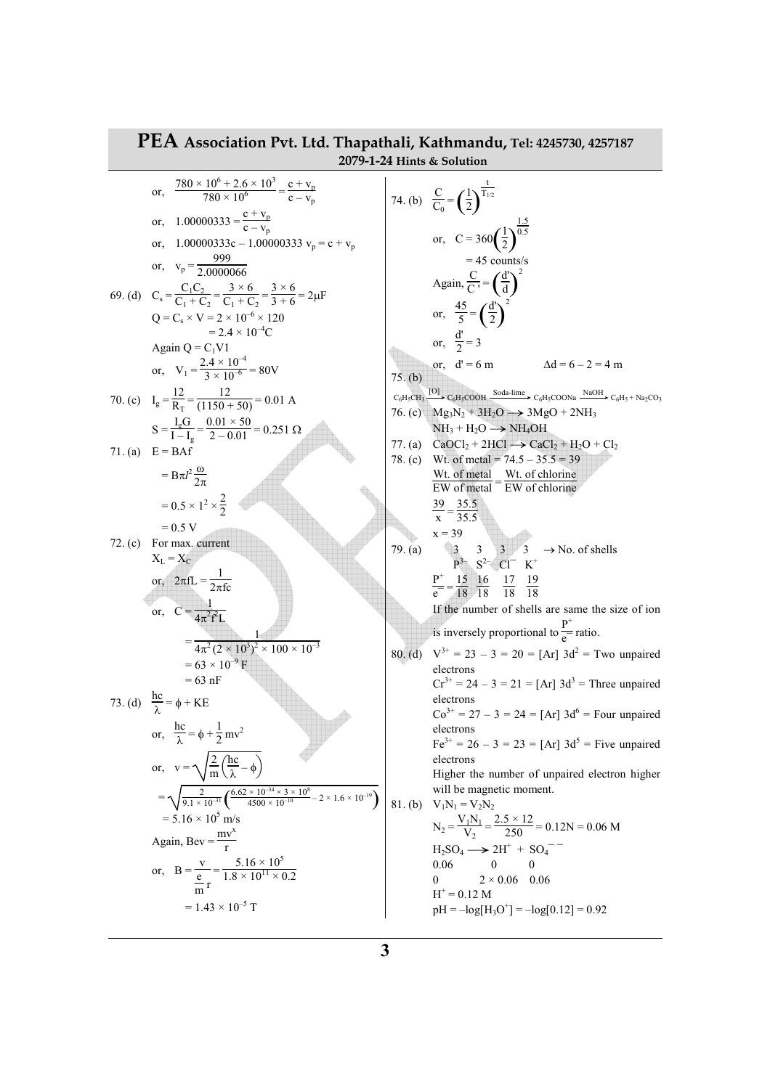**PEA Association Pvt. Ltd. Thapathali, Kathmandu, Tel: 4245730, 4257187 2079-1-24 Hints & Solution**  or, 780 × 10<sup>6</sup> + 2.6 × 10<sup>3</sup> 780 × 10<sup>6</sup><sup>=</sup> c + v<sup>p</sup> c – v<sup>p</sup> or, 1.00000333 = c + v<sup>p</sup> c – v<sup>p</sup> or, 1.00000333c – 1.00000333 v<sup>p</sup> = c + v<sup>p</sup> or, v<sup>p</sup> = 999 2.0000066 69. (d) C<sup>s</sup> = C1C<sup>2</sup> C1 + C<sup>2</sup> = 3 × 6 C1 + C<sup>2</sup> = 3 × 6 3 + 6 = 2<sup>µ</sup><sup>F</sup> Q = C<sup>s</sup> × V = 2 × 10–6 × 120 = 2.4 × 10–4C Again Q = C1V1 or, V<sup>1</sup> = 2.4 × 10–4 3 × 10–6 = 80V 70. (c) I<sup>g</sup> = 12 RT = 12 (1150 + 50) = 0.01 A S = IgG I – I<sup>g</sup> = 0.01 × 50 2 – 0.01 = 0.251 <sup>Ω</sup> 71. (a) E = BAf = Bπ*l* <sup>2</sup>ω 2π = 0.5 × 1<sup>2</sup> × 2 2 = 0.5 V 72. (c) For max. current XL = X<sup>C</sup> or, 2πfL = <sup>1</sup> 2πfc or, C = 1 4π 2 f 2L = 1 4π <sup>2</sup>(2 × 10<sup>3</sup> ) 2 × 100 × 10–3 = 63 × 10–9 F = 63 nF 73. (d) hc λ = φ + KE or, hc λ = φ + 1 2 mv<sup>2</sup> or, v = 2 m hc λ – φ = 2 9.1 × 10–31 ( ) 6.62 × 10–34 × 3 × 10<sup>8</sup> 4500 × 10–10 – 2 × 1.6 × 10–19 = 5.16 × 10<sup>5</sup> m/s Again, Bev = mv<sup>x</sup> r or, B = v e m r = 5.16 × 10<sup>5</sup> 1.8 × 10<sup>11</sup> × 0.2 = 1.43 × 10–5 T 74. (b) <sup>C</sup> C0 <sup>=</sup>( )<sup>1</sup> 2 t T1/2 or, C = 360( )<sup>1</sup> 2 1.5 0.5 = 45 counts/s Again, <sup>C</sup> C '<sup>=</sup>( )d' d 2 or, 45 5 <sup>=</sup>( )d' 2 2 or, d' 2 = 3 or, d' = 6 m ∆d = 6 – 2 = 4 m 75. (b) 76. (c) Mg3N<sup>2</sup> + 3H2<sup>O</sup>→ 3MgO + 2NH<sup>3</sup> NH<sup>3</sup> + H2<sup>O</sup>→ NH4OH 77. (a) CaOCl<sup>2</sup> + 2HCl → CaCl<sup>2</sup> + H2O + Cl<sup>2</sup> 78. (c) Wt. of metal = 74.5 – 35.5 = 39 Wt. of metal EW of metal<sup>=</sup> Wt. of chlorine EW of chlorine 39 x = 35.5 35.5 x = 39 79. (a) 3 3 3 3 → No. of shells P3– S2– Cl¯ K<sup>+</sup> P + e¯<sup>=</sup> 15 18 16 18 17 18 19 18 If the number of shells are same the size of ion is inversely proportional to P + e¯ ratio. 80. (d) V3+ = 23 – 3 = 20 = [Ar] 3d<sup>2</sup> = Two unpaired electrons Cr3+ = 24 – 3 = 21 = [Ar] 3d<sup>3</sup> = Three unpaired electrons Co3+ = 27 – 3 = 24 = [Ar] 3d<sup>6</sup> = Four unpaired electrons Fe3+ = 26 – 3 = 23 = [Ar] 3d<sup>5</sup> = Five unpaired electrons Higher the number of unpaired electron higher will be magnetic moment. 81. (b) V1N<sup>1</sup> = V2N<sup>2</sup> N<sup>2</sup> = V1N<sup>1</sup> V2 = 2.5 × 12 <sup>250</sup> = 0.12N = 0.06 M <sup>H</sup>2SO<sup>4</sup> → 2H<sup>+</sup> + SO4¯ ¯ 0.06 0 0 0 2 × 0.06 0.06 H<sup>+</sup> = 0.12 M pH = –log[H3O + ] = –log[0.12] = 0.92 C6H5CH3 [O] C6H5COOH Soda-lime C6H5COONa NaOH C6H5 + Na2CO3